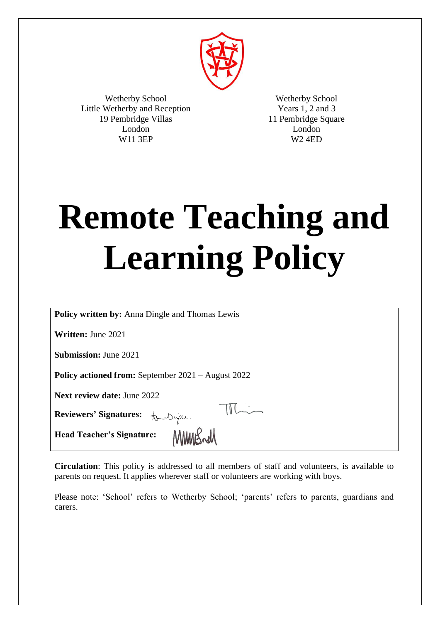

Wetherby School Little Wetherby and Reception 19 Pembridge Villas London W11 3EP

Wetherby School Years 1, 2 and 3 11 Pembridge Square London W2 4ED

# **Remote Teaching and Learning Policy**

**Policy written by:** Anna Dingle and Thomas Lewis

**Written:** June 2021

**Submission:** June 2021

**Policy actioned from:** September 2021 – August 2022

**Next review date:** June 2022

**Reviewers' Signatures:**

**Head Teacher's Signature:**

**Circulation**: This policy is addressed to all members of staff and volunteers, is available to parents on request. It applies wherever staff or volunteers are working with boys.

MMWSrd

 $\mathbb{R}$ 

Please note: 'School' refers to Wetherby School; 'parents' refers to parents, guardians and carers.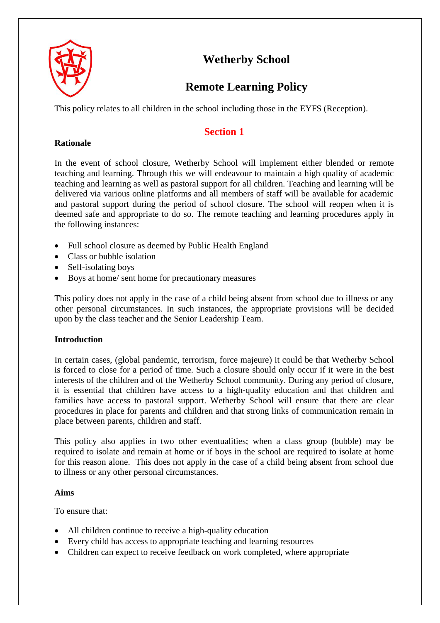

# **Wetherby School**

# **Remote Learning Policy**

This policy relates to all children in the school including those in the EYFS (Reception).

# **Section 1**

# **Rationale**

In the event of school closure, Wetherby School will implement either blended or remote teaching and learning. Through this we will endeavour to maintain a high quality of academic teaching and learning as well as pastoral support for all children. Teaching and learning will be delivered via various online platforms and all members of staff will be available for academic and pastoral support during the period of school closure. The school will reopen when it is deemed safe and appropriate to do so. The remote teaching and learning procedures apply in the following instances:

- Full school closure as deemed by Public Health England
- Class or bubble isolation
- Self-isolating boys
- Boys at home/ sent home for precautionary measures

This policy does not apply in the case of a child being absent from school due to illness or any other personal circumstances. In such instances, the appropriate provisions will be decided upon by the class teacher and the Senior Leadership Team.

# **Introduction**

In certain cases, (global pandemic, terrorism, force majeure) it could be that Wetherby School is forced to close for a period of time. Such a closure should only occur if it were in the best interests of the children and of the Wetherby School community. During any period of closure, it is essential that children have access to a high-quality education and that children and families have access to pastoral support. Wetherby School will ensure that there are clear procedures in place for parents and children and that strong links of communication remain in place between parents, children and staff.

This policy also applies in two other eventualities; when a class group (bubble) may be required to isolate and remain at home or if boys in the school are required to isolate at home for this reason alone. This does not apply in the case of a child being absent from school due to illness or any other personal circumstances.

# **Aims**

To ensure that:

- All children continue to receive a high-quality education
- Every child has access to appropriate teaching and learning resources
- Children can expect to receive feedback on work completed, where appropriate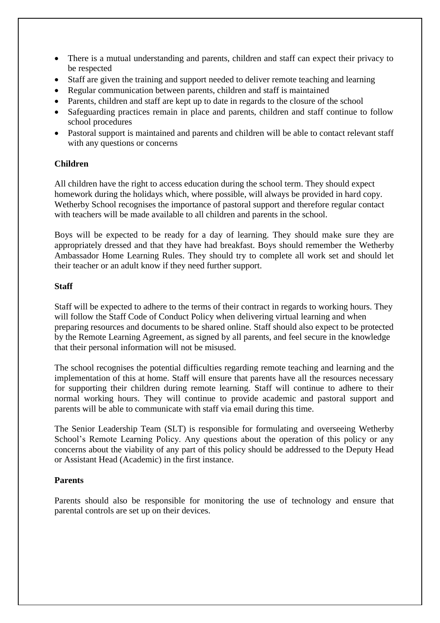- There is a mutual understanding and parents, children and staff can expect their privacy to be respected
- Staff are given the training and support needed to deliver remote teaching and learning
- Regular communication between parents, children and staff is maintained
- Parents, children and staff are kept up to date in regards to the closure of the school
- Safeguarding practices remain in place and parents, children and staff continue to follow school procedures
- Pastoral support is maintained and parents and children will be able to contact relevant staff with any questions or concerns

## **Children**

All children have the right to access education during the school term. They should expect homework during the holidays which, where possible, will always be provided in hard copy. Wetherby School recognises the importance of pastoral support and therefore regular contact with teachers will be made available to all children and parents in the school.

Boys will be expected to be ready for a day of learning. They should make sure they are appropriately dressed and that they have had breakfast. Boys should remember the Wetherby Ambassador Home Learning Rules. They should try to complete all work set and should let their teacher or an adult know if they need further support.

#### **Staff**

Staff will be expected to adhere to the terms of their contract in regards to working hours. They will follow the Staff Code of Conduct Policy when delivering virtual learning and when preparing resources and documents to be shared online. Staff should also expect to be protected by the Remote Learning Agreement, as signed by all parents, and feel secure in the knowledge that their personal information will not be misused.

The school recognises the potential difficulties regarding remote teaching and learning and the implementation of this at home. Staff will ensure that parents have all the resources necessary for supporting their children during remote learning. Staff will continue to adhere to their normal working hours. They will continue to provide academic and pastoral support and parents will be able to communicate with staff via email during this time.

The Senior Leadership Team (SLT) is responsible for formulating and overseeing Wetherby School's Remote Learning Policy. Any questions about the operation of this policy or any concerns about the viability of any part of this policy should be addressed to the Deputy Head or Assistant Head (Academic) in the first instance.

# **Parents**

Parents should also be responsible for monitoring the use of technology and ensure that parental controls are set up on their devices.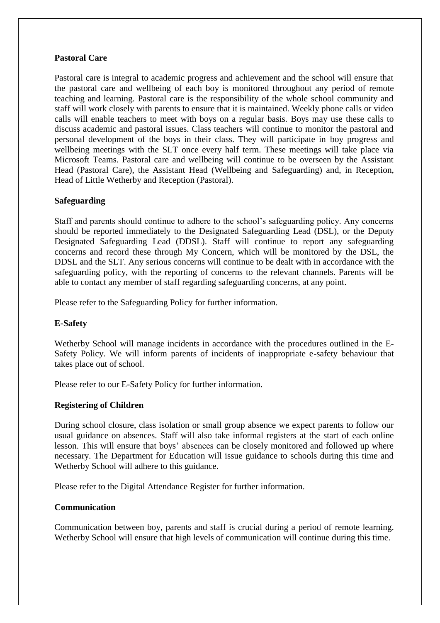## **Pastoral Care**

Pastoral care is integral to academic progress and achievement and the school will ensure that the pastoral care and wellbeing of each boy is monitored throughout any period of remote teaching and learning. Pastoral care is the responsibility of the whole school community and staff will work closely with parents to ensure that it is maintained. Weekly phone calls or video calls will enable teachers to meet with boys on a regular basis. Boys may use these calls to discuss academic and pastoral issues. Class teachers will continue to monitor the pastoral and personal development of the boys in their class. They will participate in boy progress and wellbeing meetings with the SLT once every half term. These meetings will take place via Microsoft Teams. Pastoral care and wellbeing will continue to be overseen by the Assistant Head (Pastoral Care), the Assistant Head (Wellbeing and Safeguarding) and, in Reception, Head of Little Wetherby and Reception (Pastoral).

## **Safeguarding**

Staff and parents should continue to adhere to the school's safeguarding policy. Any concerns should be reported immediately to the Designated Safeguarding Lead (DSL), or the Deputy Designated Safeguarding Lead (DDSL). Staff will continue to report any safeguarding concerns and record these through My Concern, which will be monitored by the DSL, the DDSL and the SLT. Any serious concerns will continue to be dealt with in accordance with the safeguarding policy, with the reporting of concerns to the relevant channels. Parents will be able to contact any member of staff regarding safeguarding concerns, at any point.

Please refer to the Safeguarding Policy for further information.

#### **E-Safety**

Wetherby School will manage incidents in accordance with the procedures outlined in the E-Safety Policy. We will inform parents of incidents of inappropriate e-safety behaviour that takes place out of school.

Please refer to our E-Safety Policy for further information.

#### **Registering of Children**

During school closure, class isolation or small group absence we expect parents to follow our usual guidance on absences. Staff will also take informal registers at the start of each online lesson. This will ensure that boys' absences can be closely monitored and followed up where necessary. The Department for Education will issue guidance to schools during this time and Wetherby School will adhere to this guidance.

Please refer to the Digital Attendance Register for further information.

#### **Communication**

Communication between boy, parents and staff is crucial during a period of remote learning. Wetherby School will ensure that high levels of communication will continue during this time.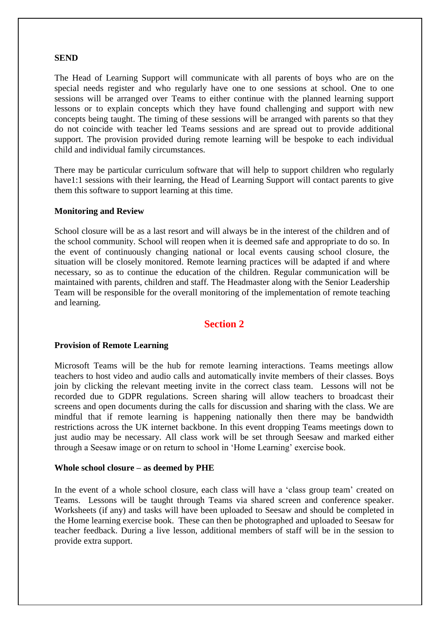#### **SEND**

The Head of Learning Support will communicate with all parents of boys who are on the special needs register and who regularly have one to one sessions at school. One to one sessions will be arranged over Teams to either continue with the planned learning support lessons or to explain concepts which they have found challenging and support with new concepts being taught. The timing of these sessions will be arranged with parents so that they do not coincide with teacher led Teams sessions and are spread out to provide additional support. The provision provided during remote learning will be bespoke to each individual child and individual family circumstances.

There may be particular curriculum software that will help to support children who regularly have1:1 sessions with their learning, the Head of Learning Support will contact parents to give them this software to support learning at this time.

#### **Monitoring and Review**

School closure will be as a last resort and will always be in the interest of the children and of the school community. School will reopen when it is deemed safe and appropriate to do so. In the event of continuously changing national or local events causing school closure, the situation will be closely monitored. Remote learning practices will be adapted if and where necessary, so as to continue the education of the children. Regular communication will be maintained with parents, children and staff. The Headmaster along with the Senior Leadership Team will be responsible for the overall monitoring of the implementation of remote teaching and learning.

# **Section 2**

#### **Provision of Remote Learning**

Microsoft Teams will be the hub for remote learning interactions. Teams meetings allow teachers to host video and audio calls and automatically invite members of their classes. Boys join by clicking the relevant meeting invite in the correct class team. Lessons will not be recorded due to GDPR regulations. Screen sharing will allow teachers to broadcast their screens and open documents during the calls for discussion and sharing with the class. We are mindful that if remote learning is happening nationally then there may be bandwidth restrictions across the UK internet backbone. In this event dropping Teams meetings down to just audio may be necessary. All class work will be set through Seesaw and marked either through a Seesaw image or on return to school in 'Home Learning' exercise book.

#### **Whole school closure – as deemed by PHE**

In the event of a whole school closure, each class will have a 'class group team' created on Teams. Lessons will be taught through Teams via shared screen and conference speaker. Worksheets (if any) and tasks will have been uploaded to Seesaw and should be completed in the Home learning exercise book. These can then be photographed and uploaded to Seesaw for teacher feedback. During a live lesson, additional members of staff will be in the session to provide extra support.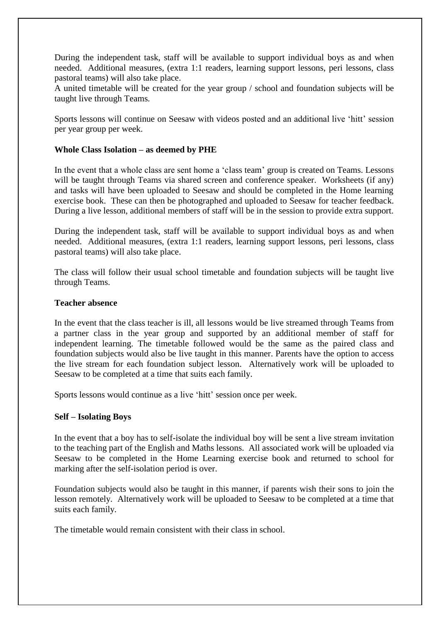During the independent task, staff will be available to support individual boys as and when needed. Additional measures, (extra 1:1 readers, learning support lessons, peri lessons, class pastoral teams) will also take place.

A united timetable will be created for the year group / school and foundation subjects will be taught live through Teams.

Sports lessons will continue on Seesaw with videos posted and an additional live 'hitt' session per year group per week.

#### **Whole Class Isolation – as deemed by PHE**

In the event that a whole class are sent home a 'class team' group is created on Teams. Lessons will be taught through Teams via shared screen and conference speaker. Worksheets (if any) and tasks will have been uploaded to Seesaw and should be completed in the Home learning exercise book. These can then be photographed and uploaded to Seesaw for teacher feedback. During a live lesson, additional members of staff will be in the session to provide extra support.

During the independent task, staff will be available to support individual boys as and when needed. Additional measures, (extra 1:1 readers, learning support lessons, peri lessons, class pastoral teams) will also take place.

The class will follow their usual school timetable and foundation subjects will be taught live through Teams.

#### **Teacher absence**

In the event that the class teacher is ill, all lessons would be live streamed through Teams from a partner class in the year group and supported by an additional member of staff for independent learning. The timetable followed would be the same as the paired class and foundation subjects would also be live taught in this manner. Parents have the option to access the live stream for each foundation subject lesson. Alternatively work will be uploaded to Seesaw to be completed at a time that suits each family.

Sports lessons would continue as a live 'hitt' session once per week.

#### **Self – Isolating Boys**

In the event that a boy has to self-isolate the individual boy will be sent a live stream invitation to the teaching part of the English and Maths lessons. All associated work will be uploaded via Seesaw to be completed in the Home Learning exercise book and returned to school for marking after the self-isolation period is over.

Foundation subjects would also be taught in this manner, if parents wish their sons to join the lesson remotely. Alternatively work will be uploaded to Seesaw to be completed at a time that suits each family.

The timetable would remain consistent with their class in school.